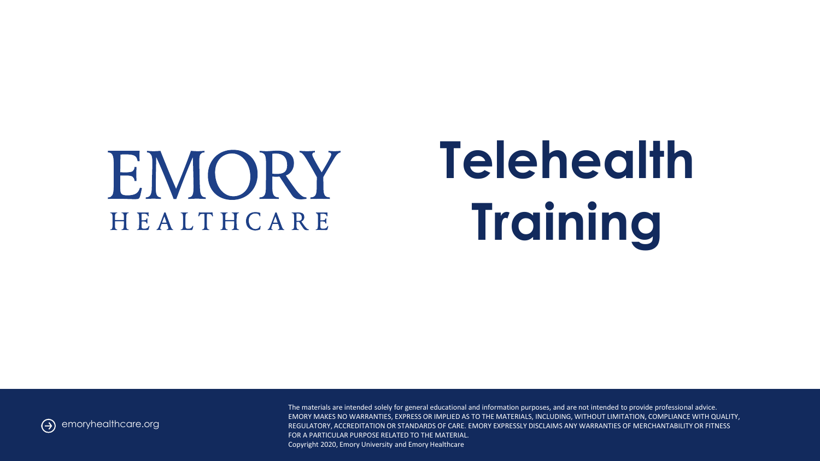# EMORY HEALTHCARE

# **Telehealth Training**

emoryhealthcare.org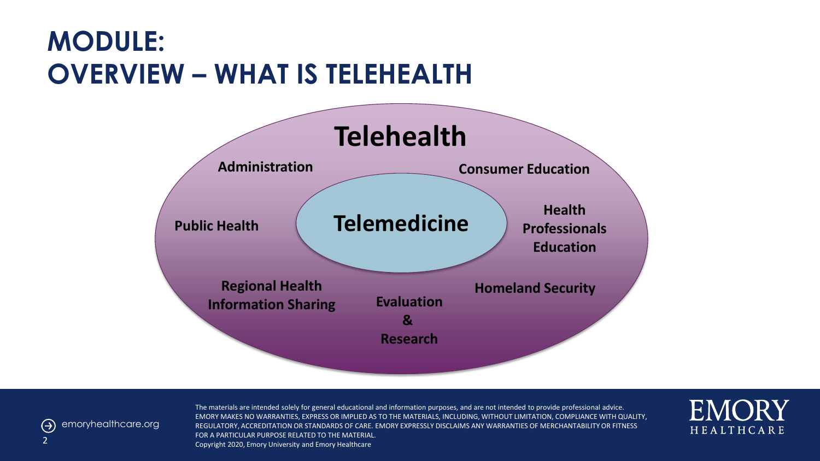#### **MODULE: OVERVIEW – WHAT IS TELEHEALTH**





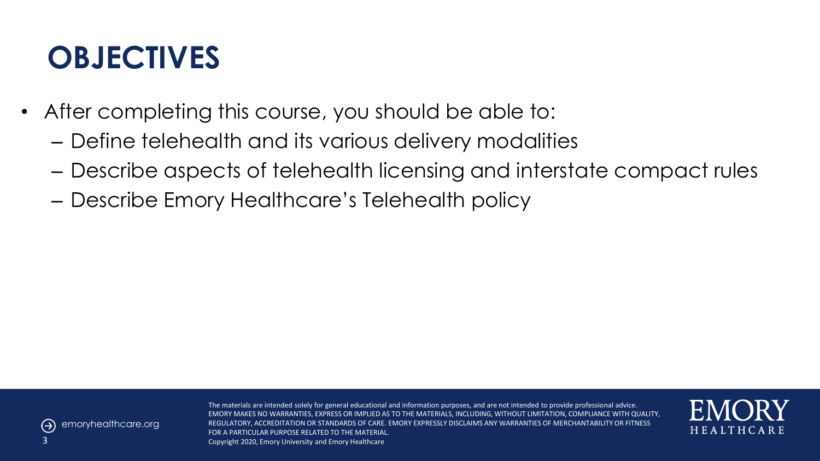### **OBJECTIVES**

- After completing this course, you should be able to:
	- Define telehealth and its various delivery modalities
	- Describe aspects of telehealth licensing and interstate compact rules
	- Describe Emory Healthcare's Telehealth policy



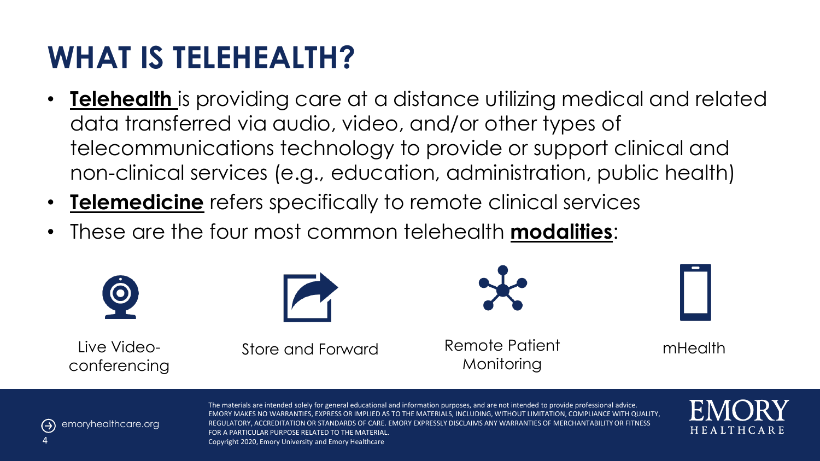### **WHAT IS TELEHEALTH?**

- **Telehealth** is providing care at a distance utilizing medical and related data transferred via audio, video, and/or other types of telecommunications technology to provide or support clinical and non-clinical services (e.g., education, administration, public health)
- **Telemedicine** refers specifically to remote clinical services
- These are the four most common telehealth **modalities**:





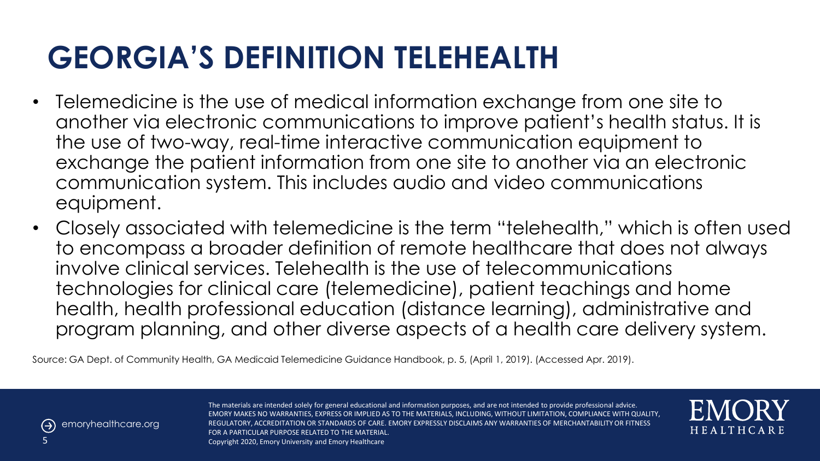### **GEORGIA'S DEFINITION TELEHEALTH**

- Telemedicine is the use of medical information exchange from one site to another via electronic communications to improve patient's health status. It is the use of two-way, real-time interactive communication equipment to exchange the patient information from one site to another via an electronic communication system. This includes audio and video communications equipment.
- Closely associated with telemedicine is the term "telehealth," which is often used to encompass a broader definition of remote healthcare that does not always involve clinical services. Telehealth is the use of telecommunications technologies for clinical care (telemedicine), patient teachings and home health, health professional education (distance learning), administrative and program planning, and other diverse aspects of a health care delivery system.

Source: GA Dept. of Community Health, GA Medicaid Telemedicine Guidance Handbook, p. 5, (April 1, 2019). (Accessed Apr. 2019).



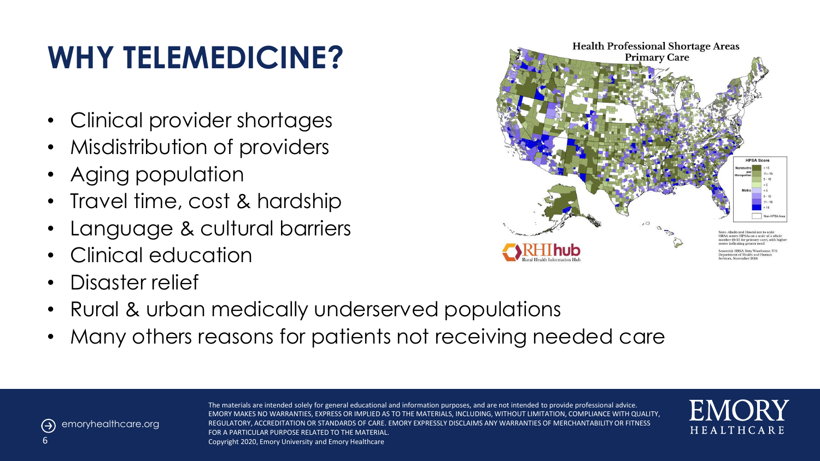# **WHY TELEMEDICINE?**

- Clinical provider shortages
- Misdistribution of providers
- Aging population
- Travel time, cost & hardship
- Language & cultural barriers
- Clinical education
- Disaster relief
- Rural & urban medically underserved populations
- Many others reasons for patients not receiving needed care





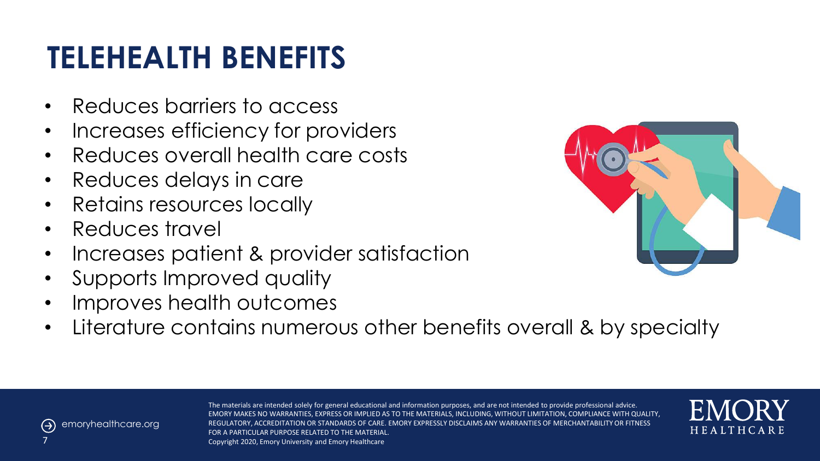### **TELEHEALTH BENEFITS**

- Reduces barriers to access
- Increases efficiency for providers
- Reduces overall health care costs
- Reduces delays in care
- Retains resources locally
- Reduces travel
- Increases patient & provider satisfaction
- Supports Improved quality
- Improves health outcomes
- Literature contains numerous other benefits overall & by specialty





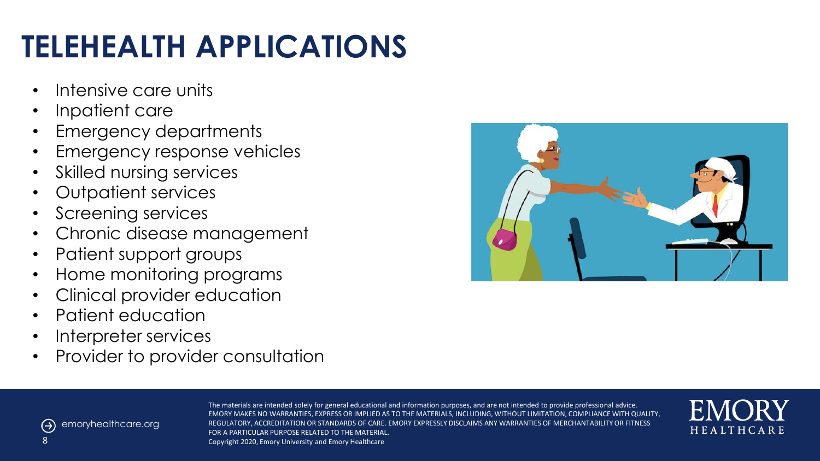# **TELEHEALTH APPLICATIONS**

- Intensive care units
- Inpatient care
- Emergency departments
- Emergency response vehicles
- Skilled nursing services
- Outpatient services
- Screening services
- Chronic disease management
- Patient support groups
- Home monitoring programs
- Clinical provider education
- Patient education
- Interpreter services
- Provider to provider consultation





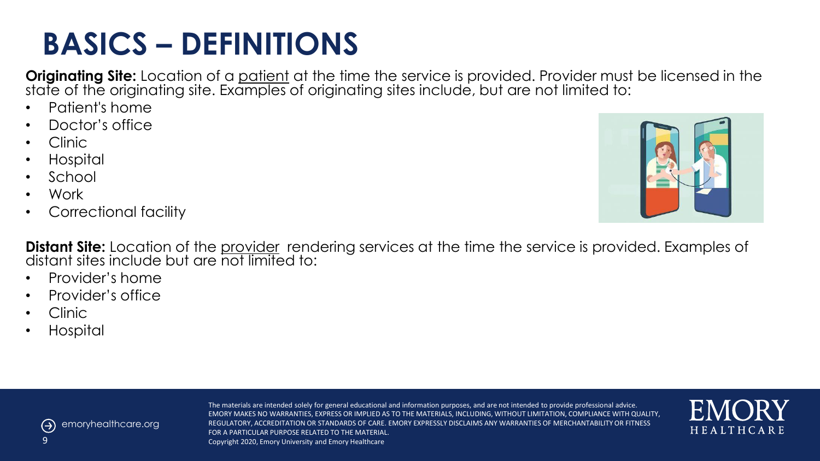#### $\Theta$ emoryhealthcare.org

The materials are intended solely for general educational and information purposes, and are not intended to provide professional advice. EMORY MAKES NO WARRANTIES, EXPRESS OR IMPLIED AS TO THE MATERIALS, INCLUDING, WITHOUT LIMITATION, COMPLIANCE WITH QUALITY, REGULATORY, ACCREDITATION OR STANDARDS OF CARE. EMORY EXPRESSLY DISCLAIMS ANY WARRANTIES OF MERCHANTABILITY OR FITNESS FOR A PARTICULAR PURPOSE RELATED TO THE MATERIAL. Copyright 2020, Emory University and Emory Healthcare

# **BASICS – DEFINITIONS**

**Originating Site:** Location of a patient at the time the service is provided. Provider must be licensed in the state of the originating site. Examples of originating sites include, but are not limited to:

- Patient's home
- Doctor's office
- Clinic
- Hospital
- School
- Work
- Correctional facility

**Distant Site:** Location of the provider rendering services at the time the service is provided. Examples of distant sites include but are not limited to:

- Provider's home
- Provider's office
- Clinic
- Hospital



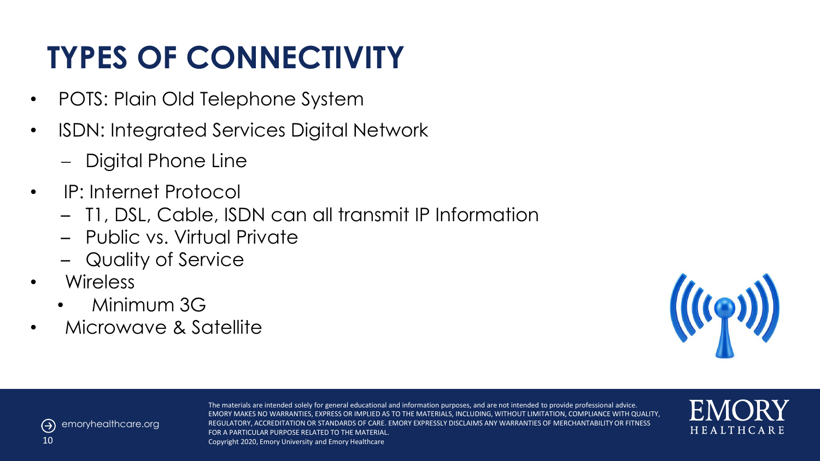# **TYPES OF CONNECTIVITY**

- POTS: Plain Old Telephone System
- ISDN: Integrated Services Digital Network
	- Digital Phone Line
- IP: Internet Protocol
	- T1, DSL, Cable, ISDN can all transmit IP Information
	- Public vs. Virtual Private
	- Quality of Service
- Wireless
	- Minimum 3G
- Microwave & Satellite





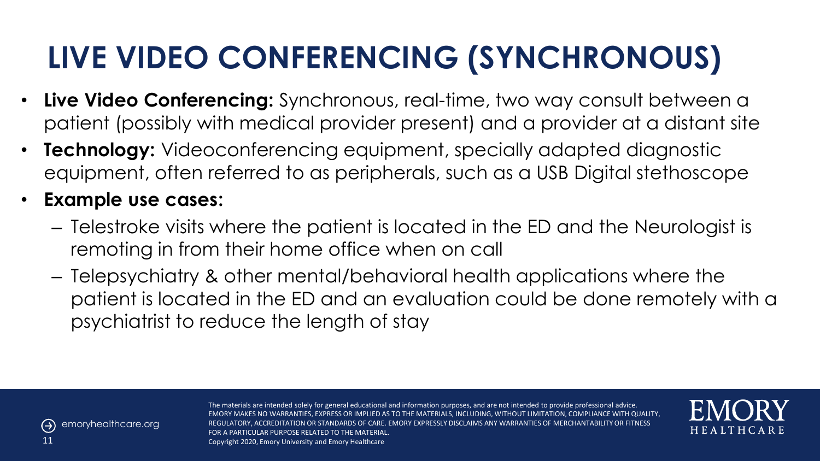### **LIVE VIDEO CONFERENCING (SYNCHRONOUS)**

- **Live Video Conferencing:** Synchronous, real-time, two way consult between a patient (possibly with medical provider present) and a provider at a distant site
- **Technology:** Videoconferencing equipment, specially adapted diagnostic equipment, often referred to as peripherals, such as a USB Digital stethoscope
- **Example use cases:**
	- Telestroke visits where the patient is located in the ED and the Neurologist is remoting in from their home office when on call
	- Telepsychiatry & other mental/behavioral health applications where the patient is located in the ED and an evaluation could be done remotely with a psychiatrist to reduce the length of stay



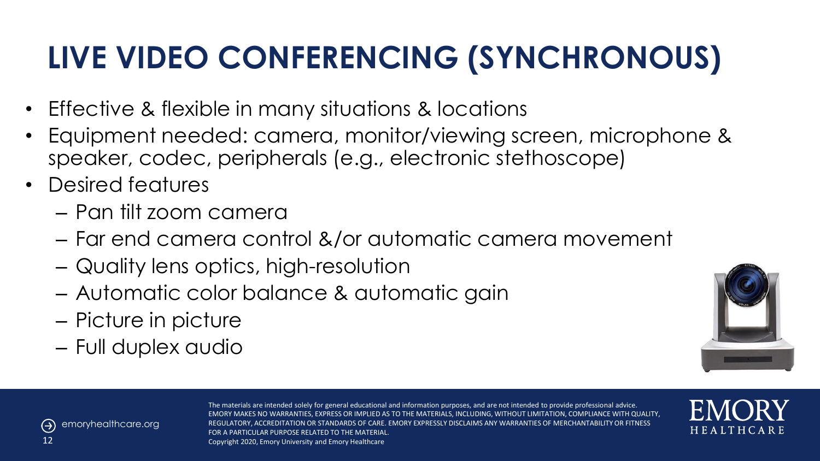# **LIVE VIDEO CONFERENCING (SYNCHRONOUS)**

- Effective & flexible in many situations & locations
- Equipment needed: camera, monitor/viewing screen, microphone & speaker, codec, peripherals (e.g., electronic stethoscope)
- Desired features
	- Pan tilt zoom camera
	- Far end camera control &/or automatic camera movement
	- Quality lens optics, high-resolution
	- Automatic color balance & automatic gain
	- Picture in picture
	- Full duplex audio



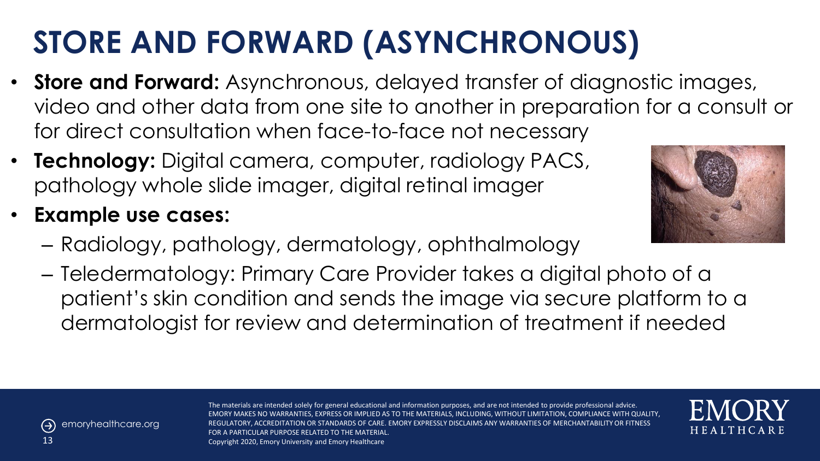# **STORE AND FORWARD (ASYNCHRONOUS)**

- **Store and Forward:** Asynchronous, delayed transfer of diagnostic images, video and other data from one site to another in preparation for a consult or for direct consultation when face-to-face not necessary
- **Technology:** Digital camera, computer, radiology PACS, pathology whole slide imager, digital retinal imager
- **Example use cases:**
	- Radiology, pathology, dermatology, ophthalmology
	- Teledermatology: Primary Care Provider takes a digital photo of a patient's skin condition and sends the image via secure platform to a dermatologist for review and determination of treatment if needed





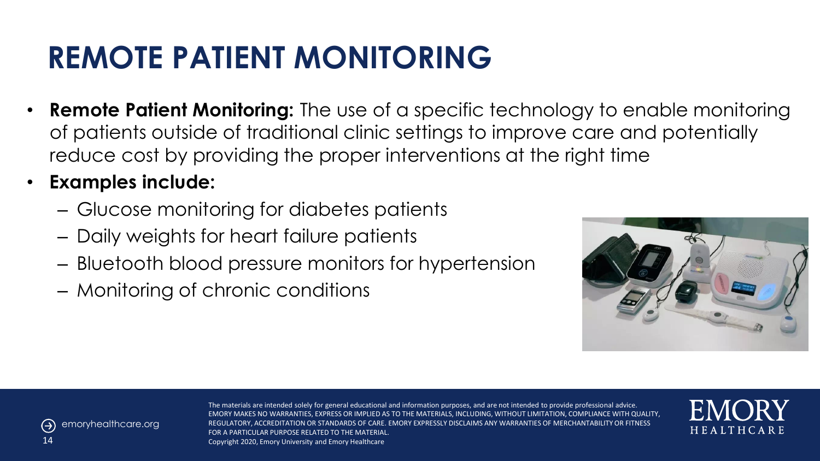### **REMOTE PATIENT MONITORING**

- **Remote Patient Monitoring:** The use of a specific technology to enable monitoring of patients outside of traditional clinic settings to improve care and potentially reduce cost by providing the proper interventions at the right time
- **Examples include:**
	- Glucose monitoring for diabetes patients
	- Daily weights for heart failure patients
	- Bluetooth blood pressure monitors for hypertension
	- Monitoring of chronic conditions





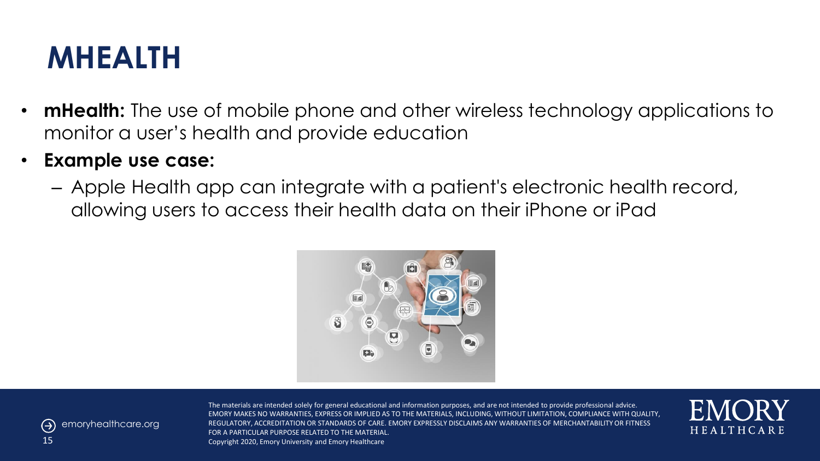#### **MHEALTH**

- **mHealth:** The use of mobile phone and other wireless technology applications to monitor a user's health and provide education
- **Example use case:**
	- Apple Health app can integrate with a patient's electronic health record, allowing users to access their health data on their iPhone or iPad





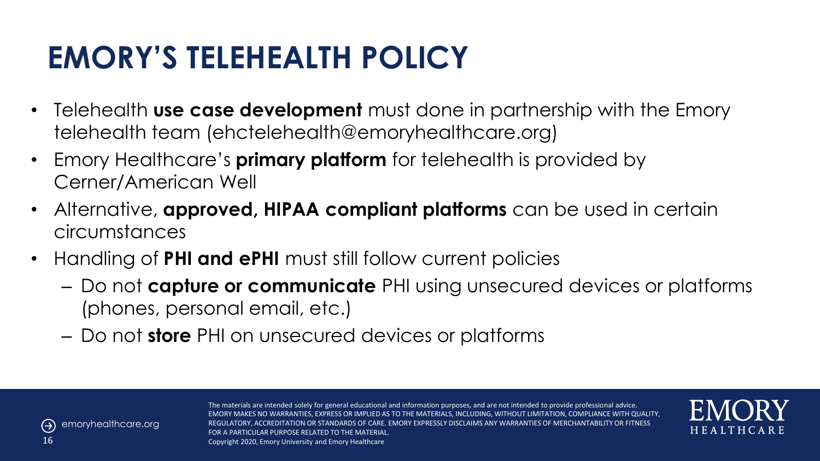### **EMORY'S TELEHEALTH POLICY**

- Telehealth **use case development** must done in partnership with the Emory telehealth team (ehctelehealth@emoryhealthcare.org)
- Emory Healthcare's **primary platform** for telehealth is provided by Cerner/American Well
- Alternative, **approved, HIPAA compliant platforms** can be used in certain circumstances
- Handling of **PHI and ePHI** must still follow current policies
	- Do not **capture or communicate** PHI using unsecured devices or platforms (phones, personal email, etc.)
	- Do not **store** PHI on unsecured devices or platforms



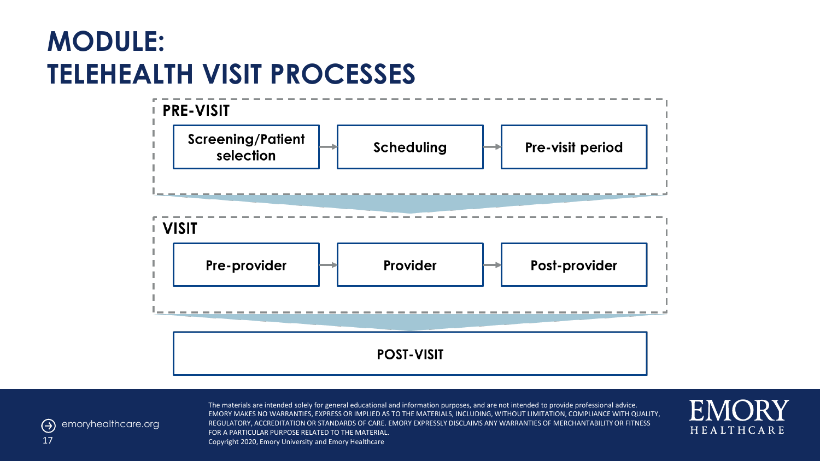#### **MODULE: TELEHEALTH VISIT PROCESSES**





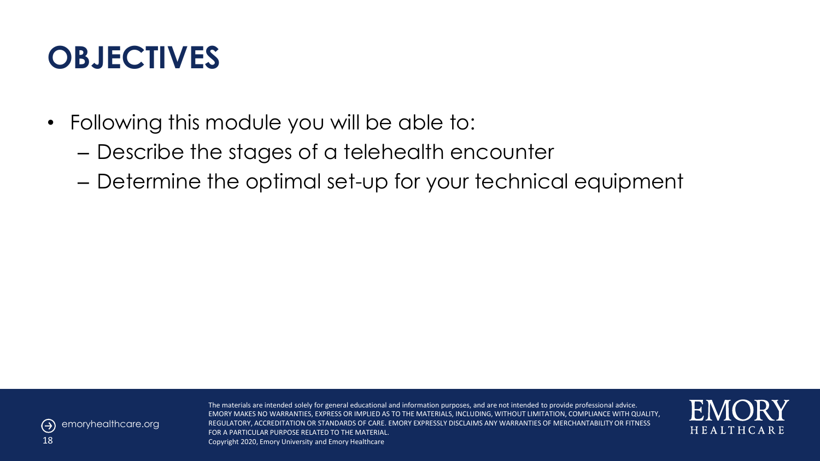#### **OBJECTIVES**

- Following this module you will be able to:
	- Describe the stages of a telehealth encounter
	- Determine the optimal set-up for your technical equipment



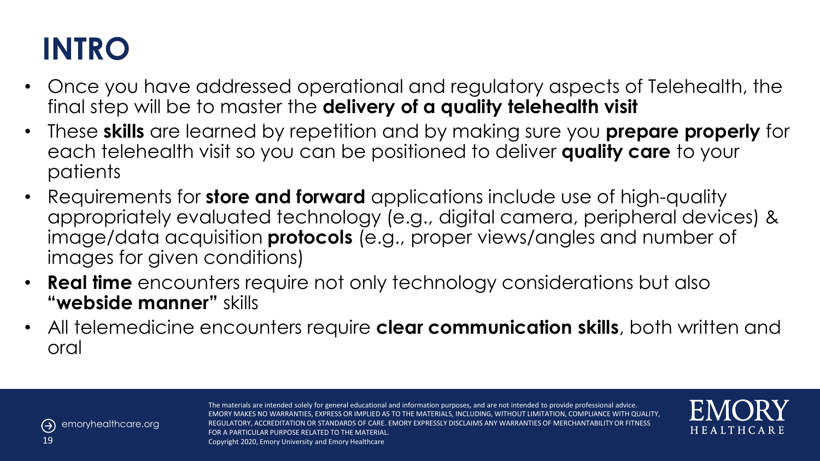# **INTRO**

- Once you have addressed operational and regulatory aspects of Telehealth, the final step will be to master the **delivery of a quality telehealth visit**
- These **skills** are learned by repetition and by making sure you **prepare properly** for each telehealth visit so you can be positioned to deliver **quality care** to your patients
- Requirements for **store and forward** applications include use of high-quality appropriately evaluated technology (e.g., digital camera, peripheral devices) & image/data acquisition **protocols** (e.g., proper views/angles and number of images for given conditions)
- **Real time** encounters require not only technology considerations but also **"webside manner"** skills
- All telemedicine encounters require **clear communication skills**, both written and oral



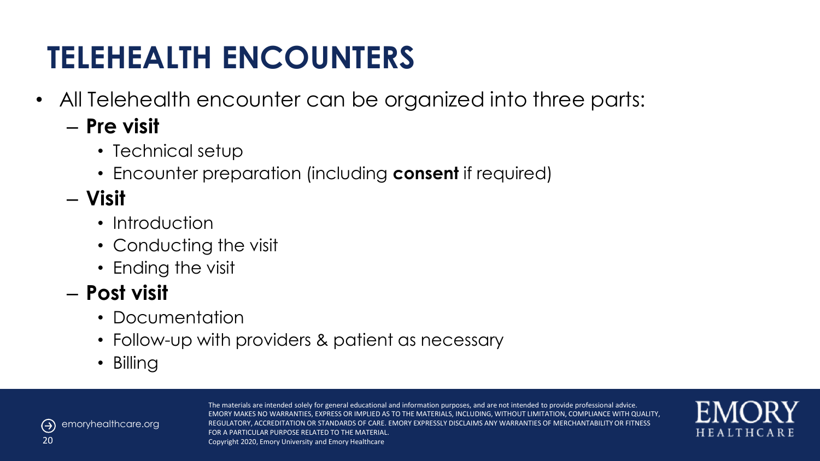### **TELEHEALTH ENCOUNTERS**

- All Telehealth encounter can be organized into three parts:
	- **Pre visit**
		- Technical setup
		- Encounter preparation (including **consent** if required)
	- **Visit**
		- Introduction
		- Conducting the visit
		- Ending the visit

#### – **Post visit**

- Documentation
- Follow-up with providers & patient as necessary
- Billing



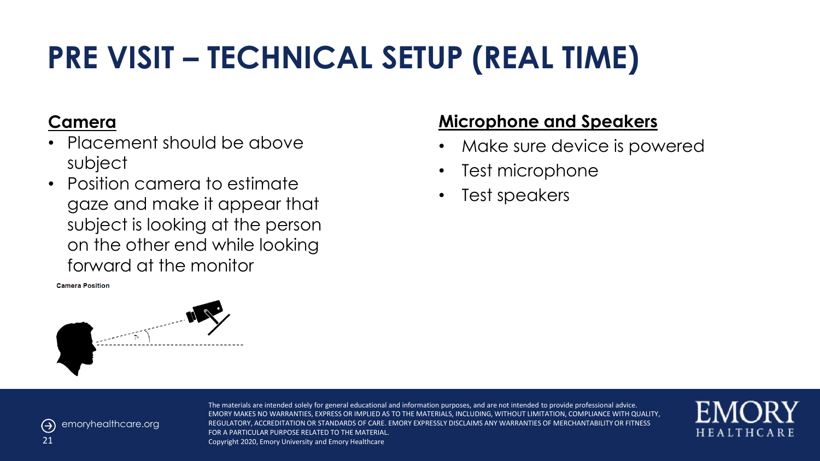# **PRE VISIT – TECHNICAL SETUP (REAL TIME)**

#### **Camera**

- Placement should be above subject
- Position camera to estimate gaze and make it appear that subject is looking at the person on the other end while looking forward at the monitor

**Camera Position** 



#### **Microphone and Speakers**

- Make sure device is powered
- Test microphone
- Test speakers



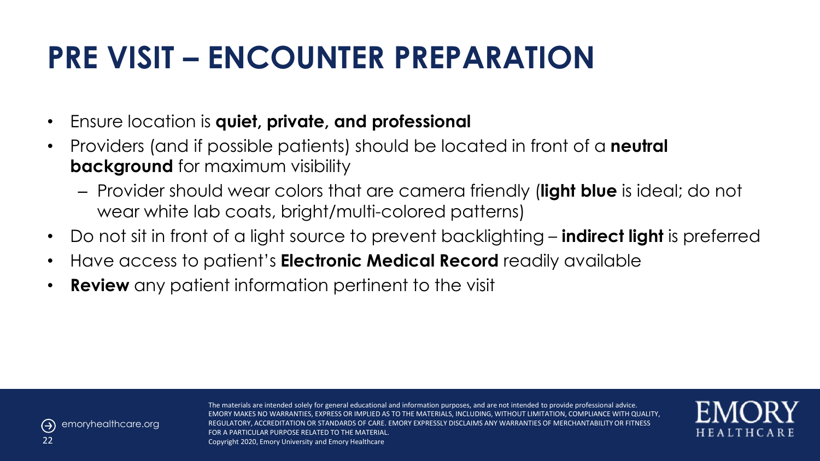# **PRE VISIT – ENCOUNTER PREPARATION**

- Ensure location is **quiet, private, and professional**
- Providers (and if possible patients) should be located in front of a **neutral background** for maximum visibility
	- Provider should wear colors that are camera friendly (**light blue** is ideal; do not wear white lab coats, bright/multi-colored patterns)
- Do not sit in front of a light source to prevent backlighting **indirect light** is preferred
- Have access to patient's **Electronic Medical Record** readily available
- **Review** any patient information pertinent to the visit



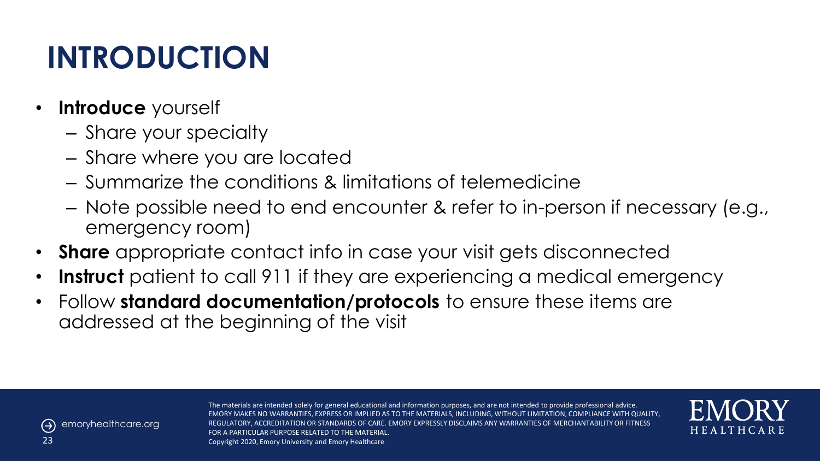# **INTRODUCTION**

- **Introduce** yourself
	- Share your specialty
	- Share where you are located
	- Summarize the conditions & limitations of telemedicine
	- Note possible need to end encounter & refer to in-person if necessary (e.g., emergency room)
- **Share** appropriate contact info in case your visit gets disconnected
- **Instruct** patient to call 911 if they are experiencing a medical emergency
- Follow **standard documentation/protocols** to ensure these items are addressed at the beginning of the visit



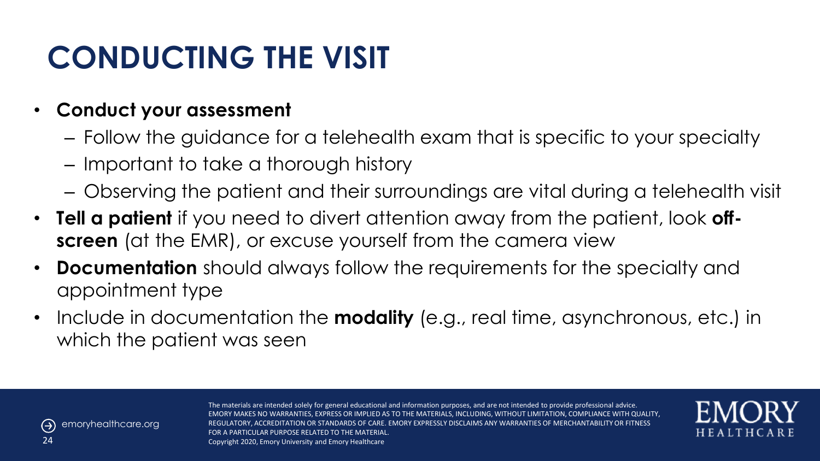### **CONDUCTING THE VISIT**

#### • **Conduct your assessment**

- Follow the guidance for a telehealth exam that is specific to your specialty
- Important to take a thorough history
- Observing the patient and their surroundings are vital during a telehealth visit
- **Tell a patient** if you need to divert attention away from the patient, look **offscreen** (at the EMR), or excuse yourself from the camera view
- **Documentation** should always follow the requirements for the specialty and appointment type
- Include in documentation the **modality** (e.g., real time, asynchronous, etc.) in which the patient was seen



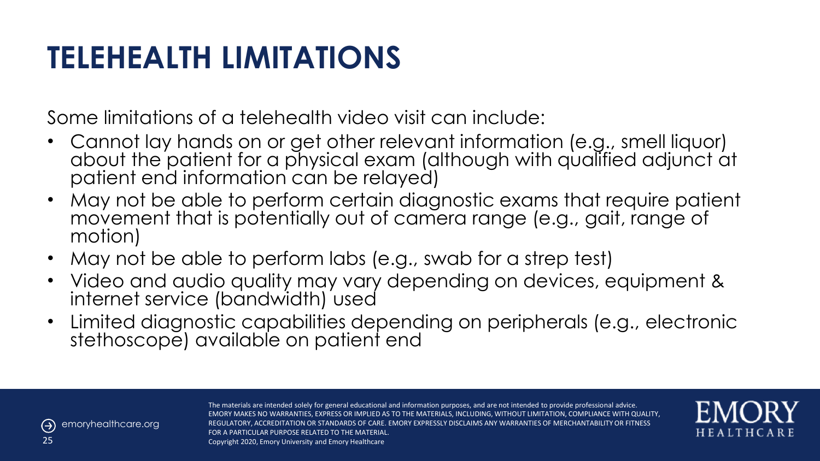### **TELEHEALTH LIMITATIONS**

Some limitations of a telehealth video visit can include:

- Cannot lay hands on or get other relevant information (e.g., smell liquor) about the patient for a physical exam (although with qualified adjunct at patient end information can be relayed)
- May not be able to perform certain diagnostic exams that require patient movement that is potentially out of camera range (e.g., gait, range of motion)
- May not be able to perform labs (e.g., swab for a strep test)
- Video and audio quality may vary depending on devices, equipment & internet service (bandwidth) used
- Limited diagnostic capabilities depending on peripherals (e.g., electronic stethoscope) available on patient end



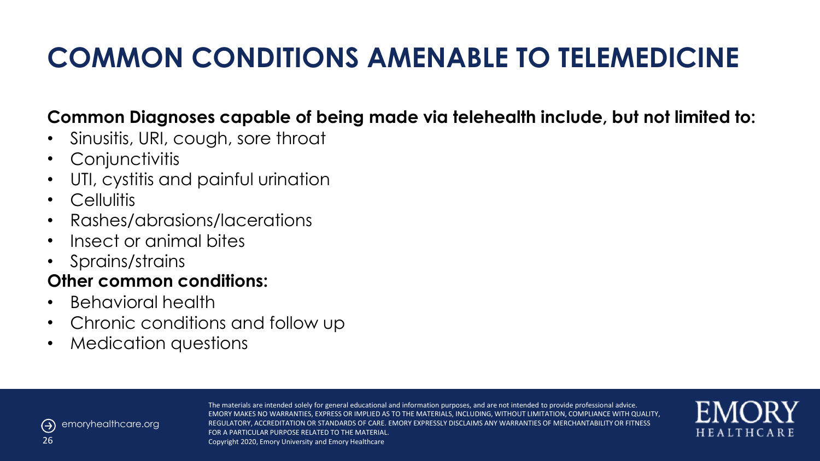#### **COMMON CONDITIONS AMENABLE TO TELEMEDICINE**

#### **Common Diagnoses capable of being made via telehealth include, but not limited to:**

- Sinusitis, URI, cough, sore throat
- Conjunctivitis
- UTI, cystitis and painful urination
- Cellulitis
- Rashes/abrasions/lacerations
- Insect or animal bites
- Sprains/strains

#### **Other common conditions:**

- Behavioral health
- Chronic conditions and follow up
- Medication questions